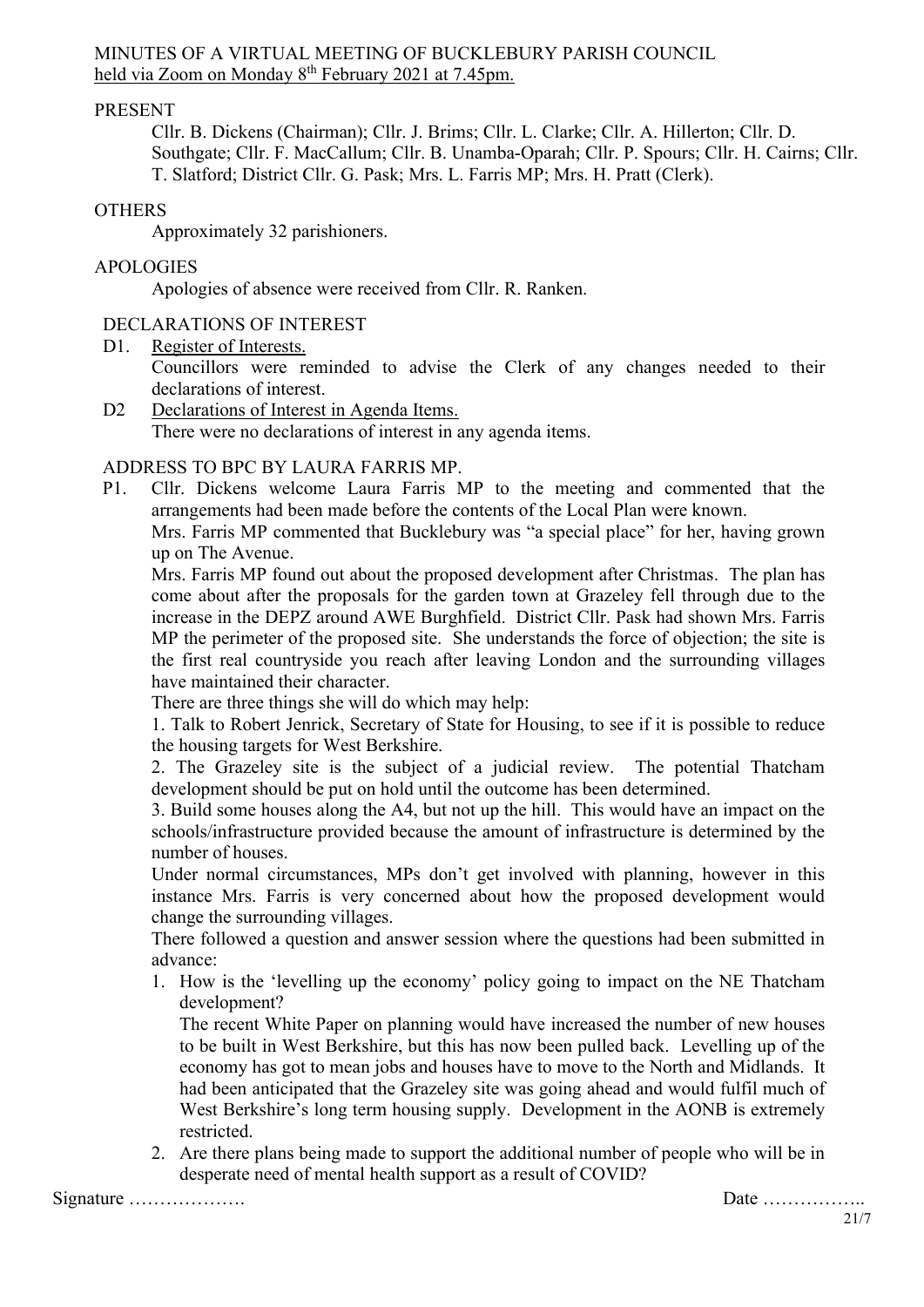### MINUTES OF A VIRTUAL MEETING OF BUCKLEBURY PARISH COUNCIL held via Zoom on Monday 8<sup>th</sup> February 2021 at 7.45pm.

## PRESENT

Cllr. B. Dickens (Chairman); Cllr. J. Brims; Cllr. L. Clarke; Cllr. A. Hillerton; Cllr. D. Southgate; Cllr. F. MacCallum; Cllr. B. Unamba-Oparah; Cllr. P. Spours; Cllr. H. Cairns; Cllr. T. Slatford; District Cllr. G. Pask; Mrs. L. Farris MP; Mrs. H. Pratt (Clerk).

#### **OTHERS**

Approximately 32 parishioners.

## APOLOGIES

Apologies of absence were received from Cllr. R. Ranken.

### DECLARATIONS OF INTEREST

D1. Register of Interests.

Councillors were reminded to advise the Clerk of any changes needed to their declarations of interest.

D2 Declarations of Interest in Agenda Items. There were no declarations of interest in any agenda items.

### ADDRESS TO BPC BY LAURA FARRIS MP.

P1. Cllr. Dickens welcome Laura Farris MP to the meeting and commented that the arrangements had been made before the contents of the Local Plan were known.

Mrs. Farris MP commented that Bucklebury was "a special place" for her, having grown up on The Avenue.

Mrs. Farris MP found out about the proposed development after Christmas. The plan has come about after the proposals for the garden town at Grazeley fell through due to the increase in the DEPZ around AWE Burghfield. District Cllr. Pask had shown Mrs. Farris MP the perimeter of the proposed site. She understands the force of objection; the site is the first real countryside you reach after leaving London and the surrounding villages have maintained their character.

There are three things she will do which may help:

1. Talk to Robert Jenrick, Secretary of State for Housing, to see if it is possible to reduce the housing targets for West Berkshire.

2. The Grazeley site is the subject of a judicial review. The potential Thatcham development should be put on hold until the outcome has been determined.

3. Build some houses along the A4, but not up the hill. This would have an impact on the schools/infrastructure provided because the amount of infrastructure is determined by the number of houses.

Under normal circumstances, MPs don't get involved with planning, however in this instance Mrs. Farris is very concerned about how the proposed development would change the surrounding villages.

There followed a question and answer session where the questions had been submitted in advance:

1. How is the 'levelling up the economy' policy going to impact on the NE Thatcham development?

The recent White Paper on planning would have increased the number of new houses to be built in West Berkshire, but this has now been pulled back. Levelling up of the economy has got to mean jobs and houses have to move to the North and Midlands. It had been anticipated that the Grazeley site was going ahead and would fulfil much of West Berkshire's long term housing supply. Development in the AONB is extremely restricted.

2. Are there plans being made to support the additional number of people who will be in desperate need of mental health support as a result of COVID?

Signature ………………. Date ……………..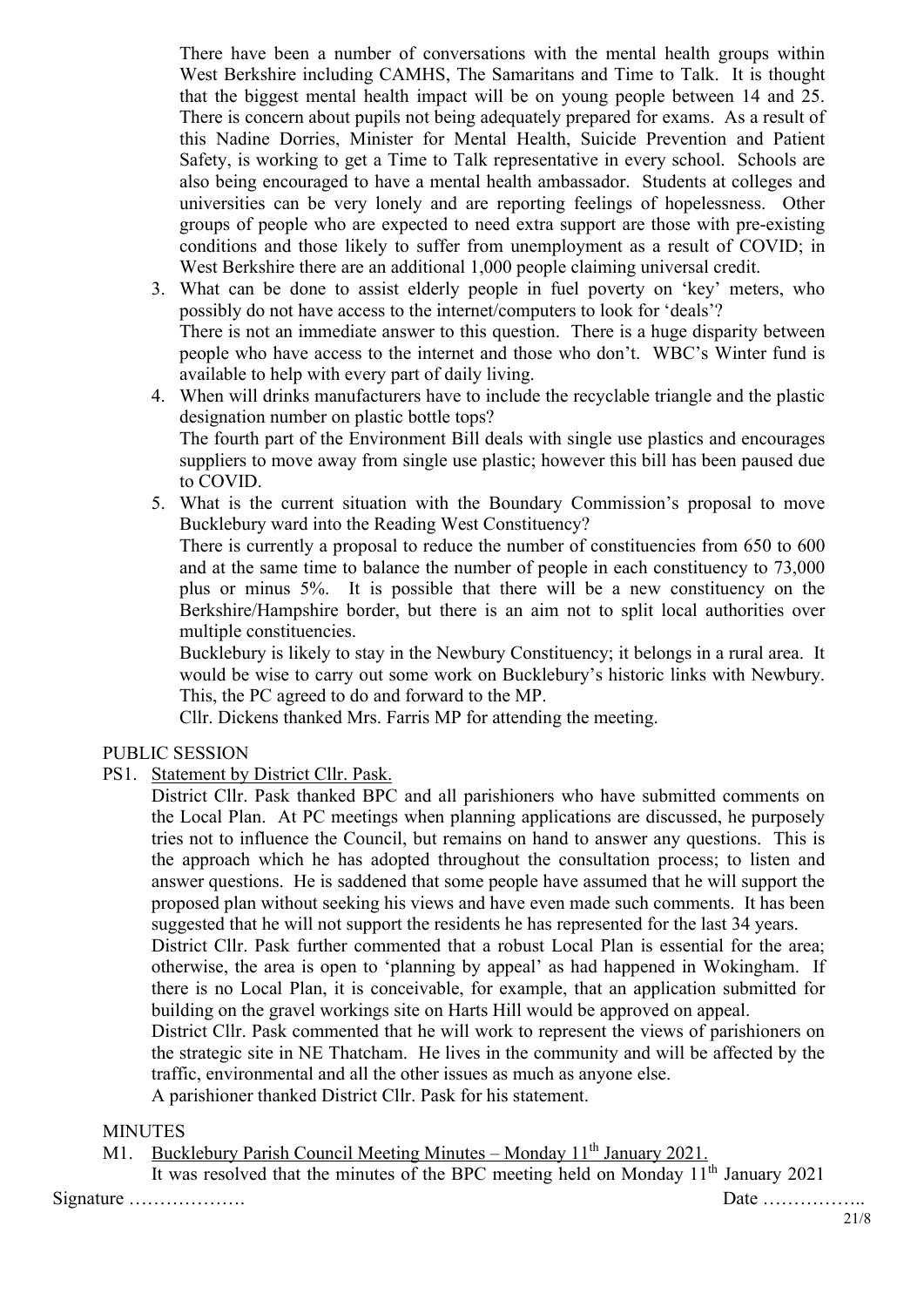There have been a number of conversations with the mental health groups within West Berkshire including CAMHS, The Samaritans and Time to Talk. It is thought that the biggest mental health impact will be on young people between 14 and 25. There is concern about pupils not being adequately prepared for exams. As a result of this Nadine Dorries, Minister for Mental Health, Suicide Prevention and Patient Safety, is working to get a Time to Talk representative in every school. Schools are also being encouraged to have a mental health ambassador. Students at colleges and universities can be very lonely and are reporting feelings of hopelessness. Other groups of people who are expected to need extra support are those with pre-existing conditions and those likely to suffer from unemployment as a result of COVID; in West Berkshire there are an additional 1,000 people claiming universal credit.

- 3. What can be done to assist elderly people in fuel poverty on 'key' meters, who possibly do not have access to the internet/computers to look for 'deals'? There is not an immediate answer to this question. There is a huge disparity between people who have access to the internet and those who don't. WBC's Winter fund is available to help with every part of daily living.
- 4. When will drinks manufacturers have to include the recyclable triangle and the plastic designation number on plastic bottle tops? The fourth part of the Environment Bill deals with single use plastics and encourages suppliers to move away from single use plastic; however this bill has been paused due to COVID.
- 5. What is the current situation with the Boundary Commission's proposal to move Bucklebury ward into the Reading West Constituency?

There is currently a proposal to reduce the number of constituencies from 650 to 600 and at the same time to balance the number of people in each constituency to 73,000 plus or minus 5%. It is possible that there will be a new constituency on the Berkshire/Hampshire border, but there is an aim not to split local authorities over multiple constituencies.

Bucklebury is likely to stay in the Newbury Constituency; it belongs in a rural area. It would be wise to carry out some work on Bucklebury's historic links with Newbury. This, the PC agreed to do and forward to the MP.

Cllr. Dickens thanked Mrs. Farris MP for attending the meeting.

#### PUBLIC SESSION

PS1. Statement by District Cllr. Pask.

District Cllr. Pask thanked BPC and all parishioners who have submitted comments on the Local Plan. At PC meetings when planning applications are discussed, he purposely tries not to influence the Council, but remains on hand to answer any questions. This is the approach which he has adopted throughout the consultation process; to listen and answer questions. He is saddened that some people have assumed that he will support the proposed plan without seeking his views and have even made such comments. It has been suggested that he will not support the residents he has represented for the last 34 years.

District Cllr. Pask further commented that a robust Local Plan is essential for the area; otherwise, the area is open to 'planning by appeal' as had happened in Wokingham. If there is no Local Plan, it is conceivable, for example, that an application submitted for building on the gravel workings site on Harts Hill would be approved on appeal.

District Cllr. Pask commented that he will work to represent the views of parishioners on the strategic site in NE Thatcham. He lives in the community and will be affected by the traffic, environmental and all the other issues as much as anyone else.

A parishioner thanked District Cllr. Pask for his statement.

#### **MINUTES**

M1. Bucklebury Parish Council Meeting Minutes – Monday  $11<sup>th</sup>$  January 2021.

It was resolved that the minutes of the BPC meeting held on Monday  $11<sup>th</sup>$  January 2021

Signature ………………. Date ……………..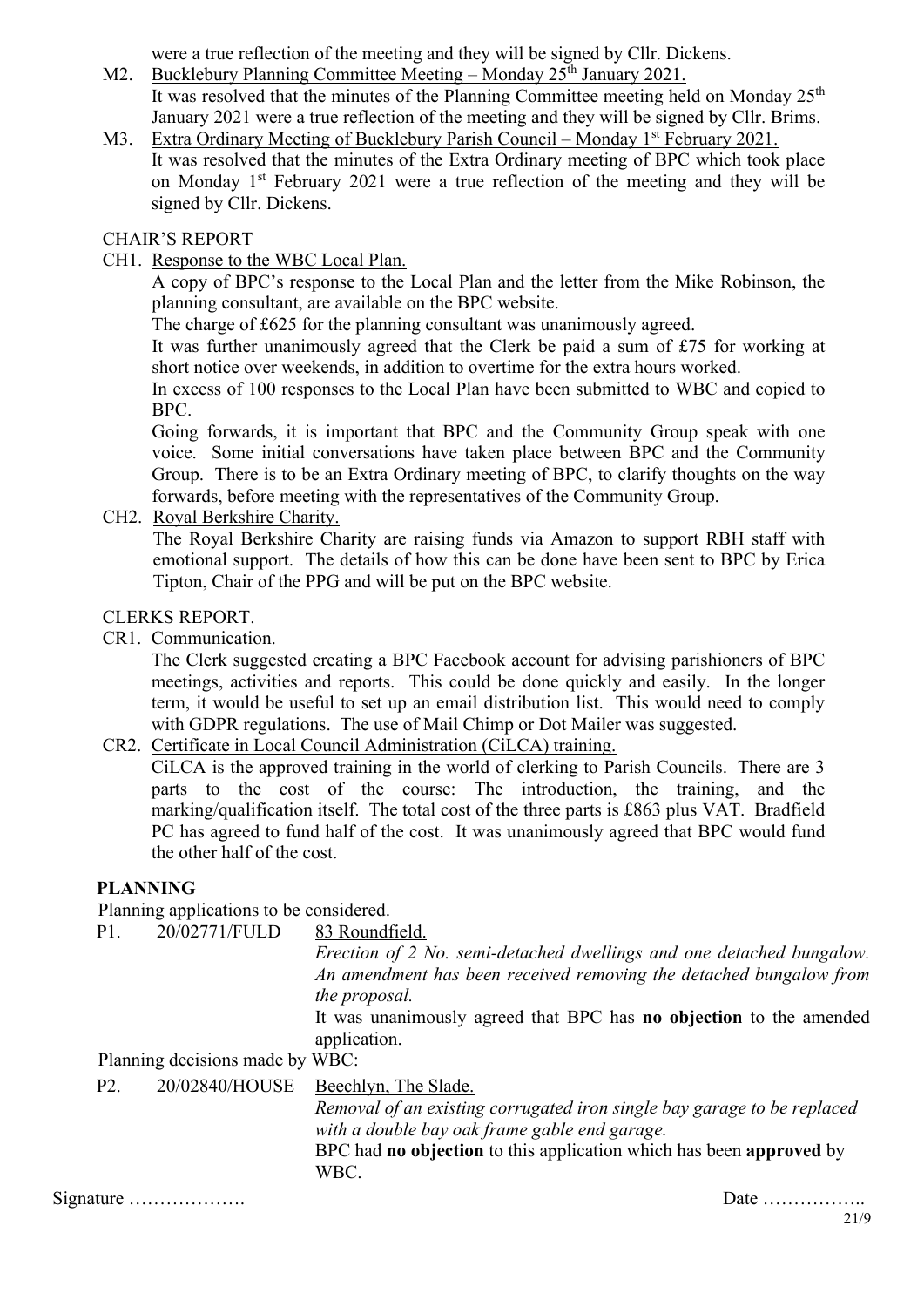were a true reflection of the meeting and they will be signed by Cllr. Dickens.

M2. Bucklebury Planning Committee Meeting – Monday  $25<sup>th</sup>$  January 2021.

It was resolved that the minutes of the Planning Committee meeting held on Monday 25<sup>th</sup> January 2021 were a true reflection of the meeting and they will be signed by Cllr. Brims.

M3. Extra Ordinary Meeting of Bucklebury Parish Council – Monday 1<sup>st</sup> February 2021. It was resolved that the minutes of the Extra Ordinary meeting of BPC which took place on Monday 1st February 2021 were a true reflection of the meeting and they will be signed by Cllr. Dickens.

# CHAIR'S REPORT

CH1. Response to the WBC Local Plan.

A copy of BPC's response to the Local Plan and the letter from the Mike Robinson, the planning consultant, are available on the BPC website.

The charge of £625 for the planning consultant was unanimously agreed.

It was further unanimously agreed that the Clerk be paid a sum of £75 for working at short notice over weekends, in addition to overtime for the extra hours worked.

In excess of 100 responses to the Local Plan have been submitted to WBC and copied to BPC.

Going forwards, it is important that BPC and the Community Group speak with one voice. Some initial conversations have taken place between BPC and the Community Group. There is to be an Extra Ordinary meeting of BPC, to clarify thoughts on the way forwards, before meeting with the representatives of the Community Group.

CH2. Royal Berkshire Charity.

The Royal Berkshire Charity are raising funds via Amazon to support RBH staff with emotional support. The details of how this can be done have been sent to BPC by Erica Tipton, Chair of the PPG and will be put on the BPC website.

# CLERKS REPORT.

CR1. Communication.

The Clerk suggested creating a BPC Facebook account for advising parishioners of BPC meetings, activities and reports. This could be done quickly and easily. In the longer term, it would be useful to set up an email distribution list. This would need to comply with GDPR regulations. The use of Mail Chimp or Dot Mailer was suggested.

CR2. Certificate in Local Council Administration (CiLCA) training.

CiLCA is the approved training in the world of clerking to Parish Councils. There are 3 parts to the cost of the course: The introduction, the training, and the marking/qualification itself. The total cost of the three parts is £863 plus VAT. Bradfield PC has agreed to fund half of the cost. It was unanimously agreed that BPC would fund the other half of the cost.

# **PLANNING**

Planning applications to be considered.

| P1.              | 20/02771/FULD                              | 83 Roundfield.<br>Erection of 2 No. semi-detached dwellings and one detached bungalow.<br>An amendment has been received removing the detached bungalow from                                                                    |  |  |
|------------------|--------------------------------------------|---------------------------------------------------------------------------------------------------------------------------------------------------------------------------------------------------------------------------------|--|--|
|                  | Planning decisions made by WBC:            | the proposal.<br>It was unanimously agreed that BPC has <b>no objection</b> to the amended<br>application.                                                                                                                      |  |  |
| P <sub>2</sub> . | 20/02840/HOUSE                             | Beechlyn, The Slade.<br>Removal of an existing corrugated iron single bay garage to be replaced<br>with a double bay oak frame gable end garage.<br>BPC had no objection to this application which has been approved by<br>WBC. |  |  |
|                  | Signature $\dots\dots\dots\dots\dots\dots$ | Date $\dots\dots\dots\dots\dots\dots$                                                                                                                                                                                           |  |  |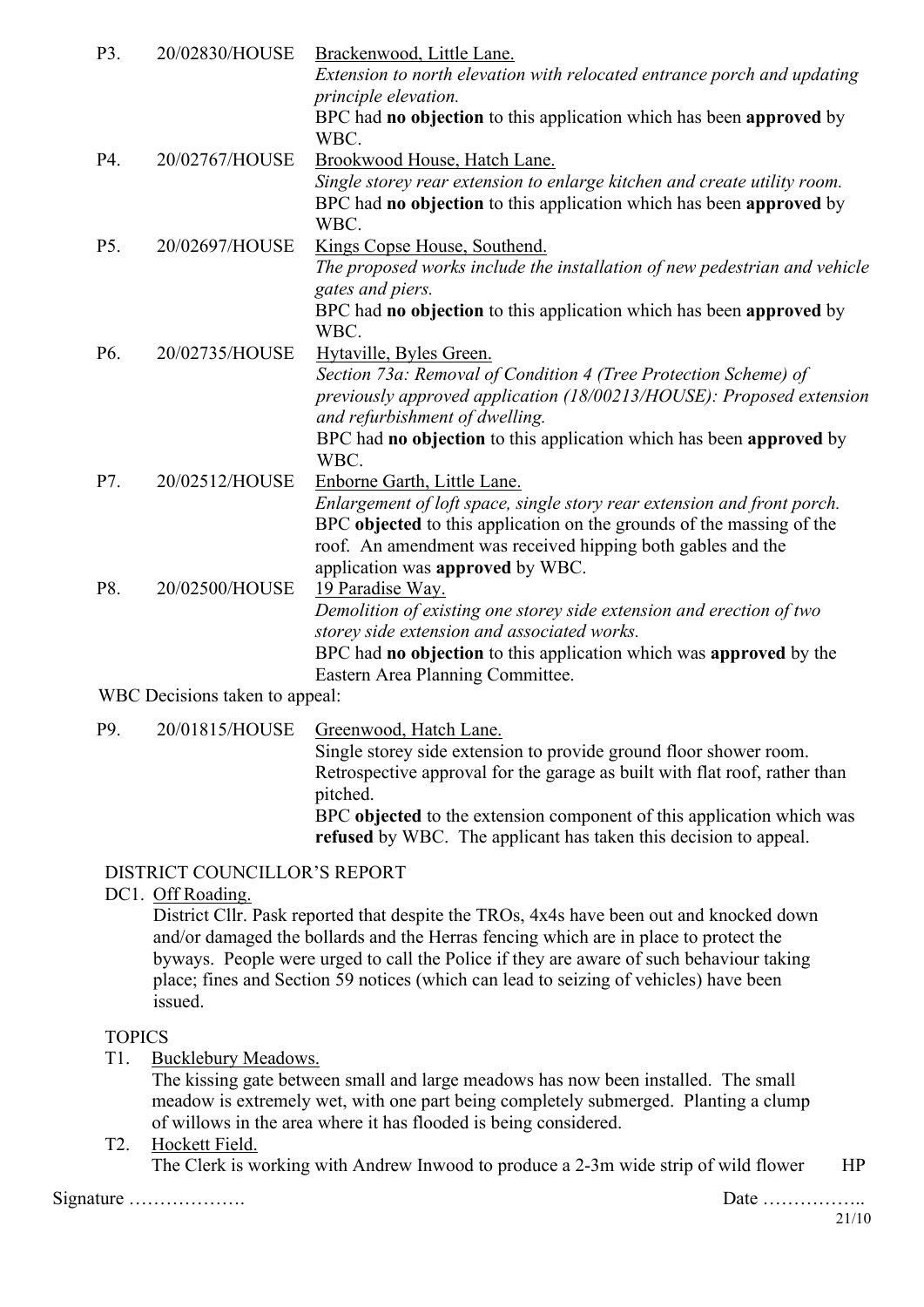| P3. | 20/02830/HOUSE                 | Brackenwood, Little Lane.                                                 |
|-----|--------------------------------|---------------------------------------------------------------------------|
|     |                                | Extension to north elevation with relocated entrance porch and updating   |
|     |                                | principle elevation.                                                      |
|     |                                | BPC had no objection to this application which has been approved by       |
|     |                                | WBC.                                                                      |
| P4. | 20/02767/HOUSE                 | Brookwood House, Hatch Lane.                                              |
|     |                                | Single storey rear extension to enlarge kitchen and create utility room.  |
|     |                                | BPC had no objection to this application which has been approved by       |
|     |                                | WBC.                                                                      |
| P5. | 20/02697/HOUSE                 | Kings Copse House, Southend.                                              |
|     |                                | The proposed works include the installation of new pedestrian and vehicle |
|     |                                | gates and piers.                                                          |
|     |                                | BPC had no objection to this application which has been approved by       |
|     |                                | WBC.                                                                      |
| P6. | 20/02735/HOUSE                 | Hytaville, Byles Green.                                                   |
|     |                                | Section 73a: Removal of Condition 4 (Tree Protection Scheme) of           |
|     |                                | previously approved application (18/00213/HOUSE): Proposed extension      |
|     |                                | and refurbishment of dwelling.                                            |
|     |                                | BPC had no objection to this application which has been approved by       |
|     |                                | WBC.                                                                      |
| P7. | 20/02512/HOUSE                 | Enborne Garth, Little Lane.                                               |
|     |                                | Enlargement of loft space, single story rear extension and front porch.   |
|     |                                | BPC objected to this application on the grounds of the massing of the     |
|     |                                | roof. An amendment was received hipping both gables and the               |
|     |                                | application was approved by WBC.                                          |
| P8. | 20/02500/HOUSE                 | 19 Paradise Way.                                                          |
|     |                                | Demolition of existing one storey side extension and erection of two      |
|     |                                | storey side extension and associated works.                               |
|     |                                | BPC had no objection to this application which was approved by the        |
|     |                                | Eastern Area Planning Committee.                                          |
|     | WBC Decisions taken to appeal: |                                                                           |
| P9. | 20/01815/HOUSE                 | Greenwood, Hatch Lane.                                                    |
|     |                                | Single storey side extension to provide ground floor shower room.         |

Retrospective approval for the garage as built with flat roof, rather than pitched.

BPC **objected** to the extension component of this application which was **refused** by WBC. The applicant has taken this decision to appeal.

## DISTRICT COUNCILLOR'S REPORT

### DC1. Off Roading.

District Cllr. Pask reported that despite the TROs, 4x4s have been out and knocked down and/or damaged the bollards and the Herras fencing which are in place to protect the byways. People were urged to call the Police if they are aware of such behaviour taking place; fines and Section 59 notices (which can lead to seizing of vehicles) have been issued.

## **TOPICS**

T1. Bucklebury Meadows.

The kissing gate between small and large meadows has now been installed. The small meadow is extremely wet, with one part being completely submerged. Planting a clump of willows in the area where it has flooded is being considered.

T2. Hockett Field.

The Clerk is working with Andrew Inwood to produce a 2-3m wide strip of wild flower HP

Signature ………………. Date ……………..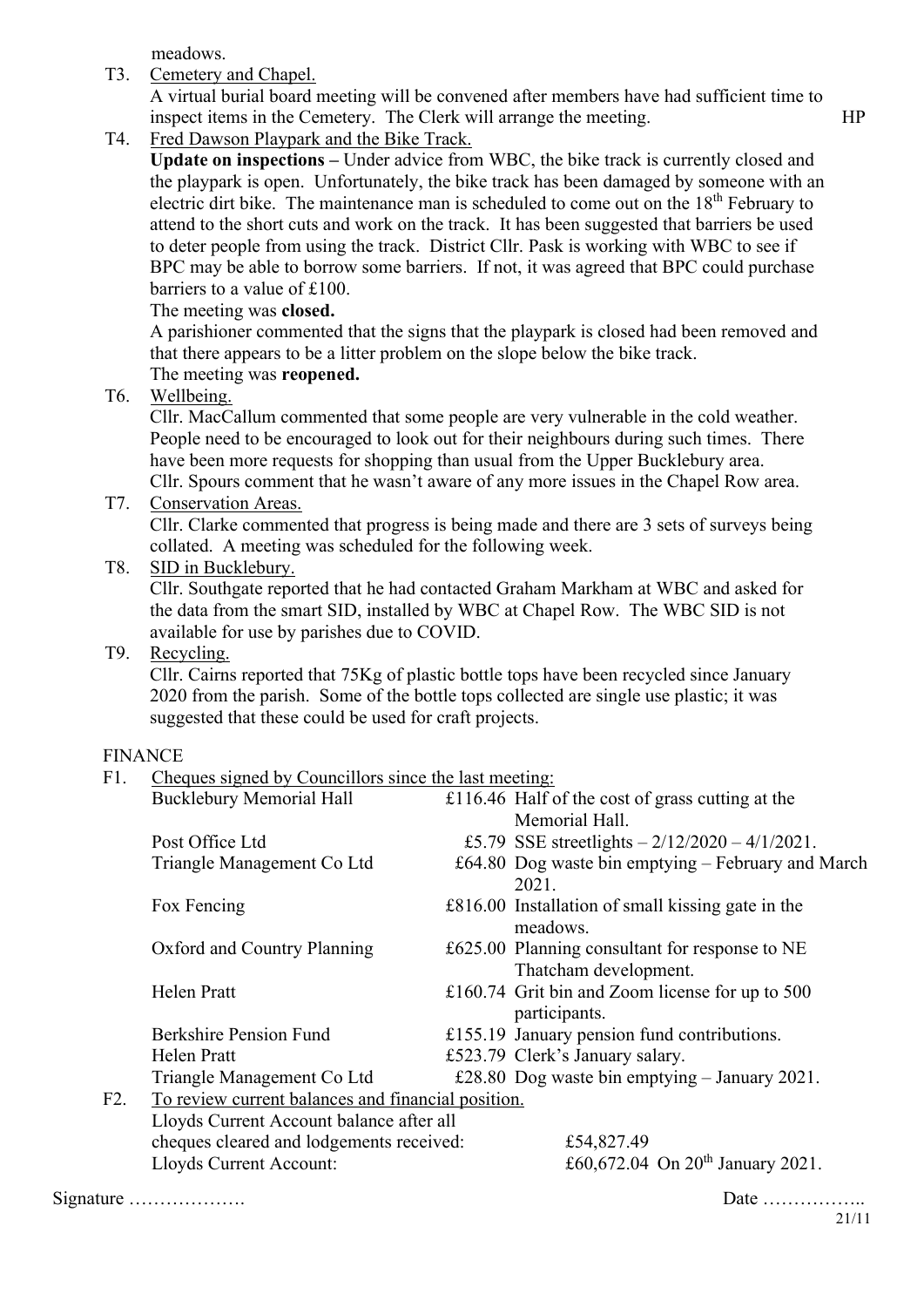meadows.

T3. Cemetery and Chapel.

A virtual burial board meeting will be convened after members have had sufficient time to inspect items in the Cemetery. The Clerk will arrange the meeting. HP

T4. Fred Dawson Playpark and the Bike Track.

**Update on inspections –** Under advice from WBC, the bike track is currently closed and the playpark is open. Unfortunately, the bike track has been damaged by someone with an electric dirt bike. The maintenance man is scheduled to come out on the 18<sup>th</sup> February to attend to the short cuts and work on the track. It has been suggested that barriers be used to deter people from using the track. District Cllr. Pask is working with WBC to see if BPC may be able to borrow some barriers. If not, it was agreed that BPC could purchase barriers to a value of £100.

The meeting was **closed.**

A parishioner commented that the signs that the playpark is closed had been removed and that there appears to be a litter problem on the slope below the bike track. The meeting was **reopened.**

T6. Wellbeing.

Cllr. MacCallum commented that some people are very vulnerable in the cold weather. People need to be encouraged to look out for their neighbours during such times. There have been more requests for shopping than usual from the Upper Bucklebury area. Cllr. Spours comment that he wasn't aware of any more issues in the Chapel Row area.

T7. Conservation Areas.

Cllr. Clarke commented that progress is being made and there are 3 sets of surveys being collated. A meeting was scheduled for the following week.

T8. SID in Bucklebury.

Cllr. Southgate reported that he had contacted Graham Markham at WBC and asked for the data from the smart SID, installed by WBC at Chapel Row. The WBC SID is not available for use by parishes due to COVID.

# T9. Recycling.

Cllr. Cairns reported that 75Kg of plastic bottle tops have been recycled since January 2020 from the parish. Some of the bottle tops collected are single use plastic; it was suggested that these could be used for craft projects.

# FINANCE

|     | 1 11 V 11 V U                                         |            |                                                                         |  |  |  |
|-----|-------------------------------------------------------|------------|-------------------------------------------------------------------------|--|--|--|
| F1. | Cheques signed by Councillors since the last meeting: |            |                                                                         |  |  |  |
|     | <b>Bucklebury Memorial Hall</b>                       |            | £116.46 Half of the cost of grass cutting at the                        |  |  |  |
|     |                                                       |            | Memorial Hall.                                                          |  |  |  |
|     | Post Office Ltd                                       |            | £5.79 SSE streetlights $-2/12/2020 - 4/1/2021$ .                        |  |  |  |
|     | Triangle Management Co Ltd                            |            | £64.80 Dog waste bin emptying - February and March<br>2021.             |  |  |  |
|     | Fox Fencing                                           |            | £816.00 Installation of small kissing gate in the<br>meadows.           |  |  |  |
|     | Oxford and Country Planning                           |            | £625.00 Planning consultant for response to NE<br>Thatcham development. |  |  |  |
|     | <b>Helen Pratt</b>                                    |            | £160.74 Grit bin and Zoom license for up to $500$<br>participants.      |  |  |  |
|     | <b>Berkshire Pension Fund</b>                         |            | £155.19 January pension fund contributions.                             |  |  |  |
|     | Helen Pratt                                           |            | £523.79 Clerk's January salary.                                         |  |  |  |
|     | Triangle Management Co Ltd                            |            | £28.80 Dog waste bin emptying $-$ January 2021.                         |  |  |  |
| F2. | To review current balances and financial position.    |            |                                                                         |  |  |  |
|     | Lloyds Current Account balance after all              |            |                                                                         |  |  |  |
|     | cheques cleared and lodgements received:              | £54,827.49 |                                                                         |  |  |  |
|     | Lloyds Current Account:                               |            | £60,672.04 On $20^{th}$ January 2021.                                   |  |  |  |
|     |                                                       |            |                                                                         |  |  |  |

Signature ………………. Date ……………..

21/11